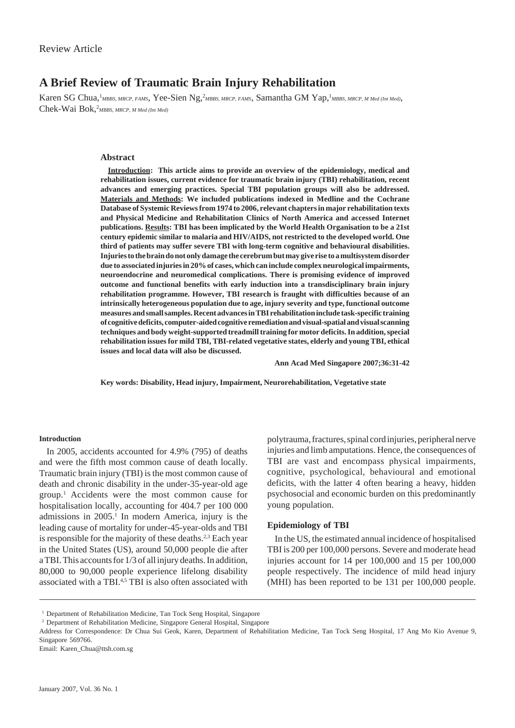# **A Brief Review of Traumatic Brain Injury Rehabilitation**

Karen SG Chua,<sup>1</sup>MBBS, MRCP, FAMS, Yee-Sien Ng,<sup>2</sup>MBBS, MRCP, FAMS, Samantha GM Yap,<sup>1</sup>MBBS, MRCP, M Med (Int Med), Chek-Wai Bok,<sup>2</sup>MBBS, MRCP, M Med (Int Med)

#### **Abstract**

**Introduction: This article aims to provide an overview of the epidemiology, medical and rehabilitation issues, current evidence for traumatic brain injury (TBI) rehabilitation, recent advances and emerging practices. Special TBI population groups will also be addressed. Materials and Methods: We included publications indexed in Medline and the Cochrane Database of Systemic Reviews from 1974 to 2006, relevant chapters in major rehabilitation texts and Physical Medicine and Rehabilitation Clinics of North America and accessed Internet publications. Results: TBI has been implicated by the World Health Organisation to be a 21st century epidemic similar to malaria and HIV/AIDS, not restricted to the developed world. One third of patients may suffer severe TBI with long-term cognitive and behavioural disabilities. Injuries to the brain do not only damage the cerebrum but may give rise to a multisystem disorder due to associated injuries in 20% of cases, which can include complex neurological impairments, neuroendocrine and neuromedical complications. There is promising evidence of improved outcome and functional benefits with early induction into a transdisciplinary brain injury rehabilitation programme. However, TBI research is fraught with difficulties because of an intrinsically heterogeneous population due to age, injury severity and type, functional outcome measures and small samples. Recent advances in TBI rehabilitation include task-specific training of cognitive deficits, computer-aided cognitive remediation and visual-spatial and visual scanning techniques and body weight-supported treadmill training for motor deficits. In addition, special rehabilitation issues for mild TBI, TBI-related vegetative states, elderly and young TBI, ethical issues and local data will also be discussed.**

**Ann Acad Med Singapore 2007;36:31-42**

**Key words: Disability, Head injury, Impairment, Neurorehabilitation, Vegetative state**

### **Introduction**

In 2005, accidents accounted for 4.9% (795) of deaths and were the fifth most common cause of death locally. Traumatic brain injury (TBI) is the most common cause of death and chronic disability in the under-35-year-old age group.1 Accidents were the most common cause for hospitalisation locally, accounting for 404.7 per 100 000 admissions in 2005.<sup>1</sup> In modern America, injury is the leading cause of mortality for under-45-year-olds and TBI is responsible for the majority of these deaths.<sup>2,3</sup> Each year in the United States (US), around 50,000 people die after a TBI. This accounts for 1/3 of all injury deaths. In addition, 80,000 to 90,000 people experience lifelong disability associated with a TBI.<sup>4,5</sup> TBI is also often associated with polytrauma, fractures, spinal cord injuries, peripheral nerve injuries and limb amputations. Hence, the consequences of TBI are vast and encompass physical impairments, cognitive, psychological, behavioural and emotional deficits, with the latter 4 often bearing a heavy, hidden psychosocial and economic burden on this predominantly young population.

### **Epidemiology of TBI**

In the US, the estimated annual incidence of hospitalised TBI is 200 per 100,000 persons. Severe and moderate head injuries account for 14 per 100,000 and 15 per 100,000 people respectively. The incidence of mild head injury (MHI) has been reported to be 131 per 100,000 people.

<sup>&</sup>lt;sup>1</sup> Department of Rehabilitation Medicine, Tan Tock Seng Hospital, Singapore

<sup>2</sup> Department of Rehabilitation Medicine, Singapore General Hospital, Singapore

Address for Correspondence: Dr Chua Sui Geok, Karen, Department of Rehabilitation Medicine, Tan Tock Seng Hospital, 17 Ang Mo Kio Avenue 9, Singapore 569766.

Email: Karen\_Chua@ttsh.com.sg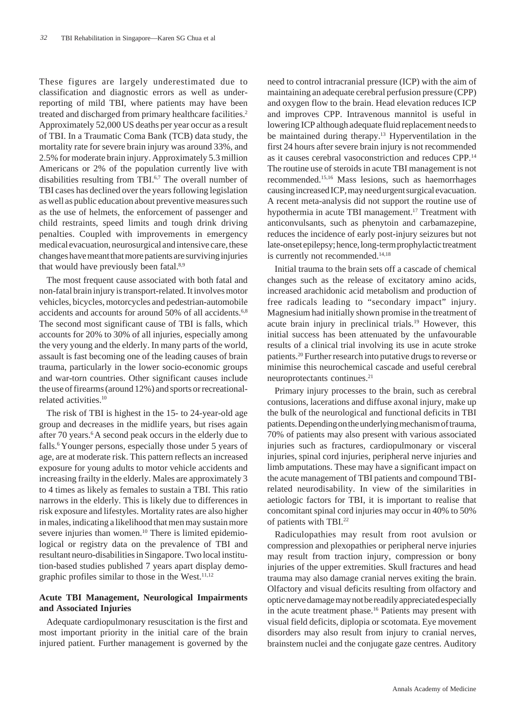These figures are largely underestimated due to classification and diagnostic errors as well as underreporting of mild TBI, where patients may have been treated and discharged from primary healthcare facilities.<sup>2</sup> Approximately 52,000 US deaths per year occur as a result of TBI. In a Traumatic Coma Bank (TCB) data study, the mortality rate for severe brain injury was around 33%, and 2.5% for moderate brain injury. Approximately 5.3 million Americans or 2% of the population currently live with disabilities resulting from TBI.<sup>6,7</sup> The overall number of TBI cases has declined over the years following legislation as well as public education about preventive measures such as the use of helmets, the enforcement of passenger and child restraints, speed limits and tough drink driving penalties. Coupled with improvements in emergency medical evacuation, neurosurgical and intensive care, these changes have meant that more patients are surviving injuries that would have previously been fatal.<sup>8,9</sup>

The most frequent cause associated with both fatal and non-fatal brain injury is transport-related. It involves motor vehicles, bicycles, motorcycles and pedestrian-automobile accidents and accounts for around 50% of all accidents.<sup>6,8</sup> The second most significant cause of TBI is falls, which accounts for 20% to 30% of all injuries, especially among the very young and the elderly. In many parts of the world, assault is fast becoming one of the leading causes of brain trauma, particularly in the lower socio-economic groups and war-torn countries. Other significant causes include the use of firearms (around 12%) and sports or recreationalrelated activities.10

The risk of TBI is highest in the 15- to 24-year-old age group and decreases in the midlife years, but rises again after 70 years.<sup>6</sup> A second peak occurs in the elderly due to falls.6 Younger persons, especially those under 5 years of age, are at moderate risk. This pattern reflects an increased exposure for young adults to motor vehicle accidents and increasing frailty in the elderly. Males are approximately 3 to 4 times as likely as females to sustain a TBI. This ratio narrows in the elderly. This is likely due to differences in risk exposure and lifestyles. Mortality rates are also higher in males, indicating a likelihood that men may sustain more severe injuries than women.<sup>10</sup> There is limited epidemiological or registry data on the prevalence of TBI and resultant neuro-disabilities in Singapore. Two local institution-based studies published 7 years apart display demographic profiles similar to those in the West. $11,12$ 

## **Acute TBI Management, Neurological Impairments and Associated Injuries**

Adequate cardiopulmonary resuscitation is the first and most important priority in the initial care of the brain injured patient. Further management is governed by the need to control intracranial pressure (ICP) with the aim of maintaining an adequate cerebral perfusion pressure (CPP) and oxygen flow to the brain. Head elevation reduces ICP and improves CPP. Intravenous mannitol is useful in lowering ICP although adequate fluid replacement needs to be maintained during therapy.<sup>13</sup> Hyperventilation in the first 24 hours after severe brain injury is not recommended as it causes cerebral vasoconstriction and reduces CPP.14 The routine use of steroids in acute TBI management is not recommended.15,16 Mass lesions, such as haemorrhages causing increased ICP, may need urgent surgical evacuation. A recent meta-analysis did not support the routine use of hypothermia in acute TBI management.17 Treatment with anticonvulsants, such as phenytoin and carbamazepine, reduces the incidence of early post-injury seizures but not late-onset epilepsy; hence, long-term prophylactic treatment is currently not recommended.<sup>14,18</sup>

Initial trauma to the brain sets off a cascade of chemical changes such as the release of excitatory amino acids, increased arachidonic acid metabolism and production of free radicals leading to "secondary impact" injury. Magnesium had initially shown promise in the treatment of acute brain injury in preclinical trials.<sup>19</sup> However, this initial success has been attenuated by the unfavourable results of a clinical trial involving its use in acute stroke patients.20 Further research into putative drugs to reverse or minimise this neurochemical cascade and useful cerebral neuroprotectants continues.21

Primary injury processes to the brain, such as cerebral contusions, lacerations and diffuse axonal injury, make up the bulk of the neurological and functional deficits in TBI patients. Depending on the underlying mechanism of trauma, 70% of patients may also present with various associated injuries such as fractures, cardiopulmonary or visceral injuries, spinal cord injuries, peripheral nerve injuries and limb amputations. These may have a significant impact on the acute management of TBI patients and compound TBIrelated neurodisability. In view of the similarities in aetiologic factors for TBI, it is important to realise that concomitant spinal cord injuries may occur in 40% to 50% of patients with TBI.22

Radiculopathies may result from root avulsion or compression and plexopathies or peripheral nerve injuries may result from traction injury, compression or bony injuries of the upper extremities. Skull fractures and head trauma may also damage cranial nerves exiting the brain. Olfactory and visual deficits resulting from olfactory and optic nerve damage may not be readily appreciated especially in the acute treatment phase.<sup>16</sup> Patients may present with visual field deficits, diplopia or scotomata. Eye movement disorders may also result from injury to cranial nerves, brainstem nuclei and the conjugate gaze centres. Auditory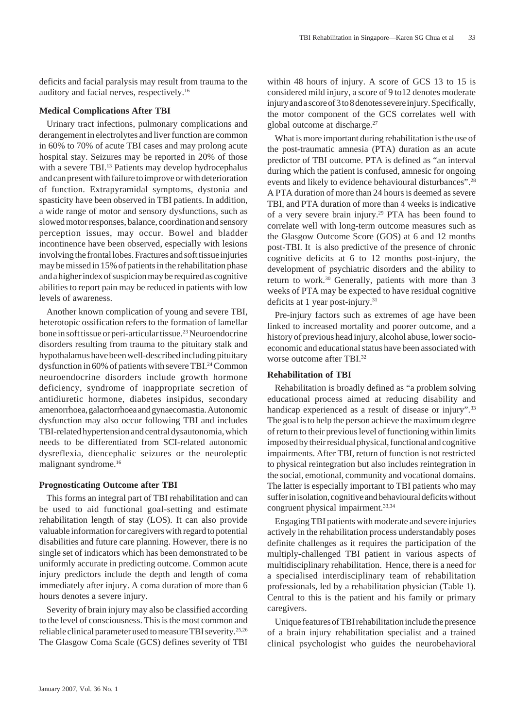deficits and facial paralysis may result from trauma to the auditory and facial nerves, respectively.16

## **Medical Complications After TBI**

Urinary tract infections, pulmonary complications and derangement in electrolytes and liver function are common in 60% to 70% of acute TBI cases and may prolong acute hospital stay. Seizures may be reported in 20% of those with a severe TBI.<sup>13</sup> Patients may develop hydrocephalus and can present with failure to improve or with deterioration of function. Extrapyramidal symptoms, dystonia and spasticity have been observed in TBI patients. In addition, a wide range of motor and sensory dysfunctions, such as slowed motor responses, balance, coordination and sensory perception issues, may occur. Bowel and bladder incontinence have been observed, especially with lesions involving the frontal lobes. Fractures and soft tissue injuries may be missed in 15% of patients in the rehabilitation phase and a higher index of suspicion may be required as cognitive abilities to report pain may be reduced in patients with low levels of awareness.

Another known complication of young and severe TBI, heterotopic ossification refers to the formation of lamellar bone in soft tissue or peri-articular tissue.23 Neuroendocrine disorders resulting from trauma to the pituitary stalk and hypothalamus have been well-described including pituitary dysfunction in 60% of patients with severe TBI.<sup>24</sup> Common neuroendocrine disorders include growth hormone deficiency, syndrome of inappropriate secretion of antidiuretic hormone, diabetes insipidus, secondary amenorrhoea, galactorrhoea and gynaecomastia. Autonomic dysfunction may also occur following TBI and includes TBI-related hypertension and central dysautonomia, which needs to be differentiated from SCI-related autonomic dysreflexia, diencephalic seizures or the neuroleptic malignant syndrome.16

#### **Prognosticating Outcome after TBI**

This forms an integral part of TBI rehabilitation and can be used to aid functional goal-setting and estimate rehabilitation length of stay (LOS). It can also provide valuable information for caregivers with regard to potential disabilities and future care planning. However, there is no single set of indicators which has been demonstrated to be uniformly accurate in predicting outcome. Common acute injury predictors include the depth and length of coma immediately after injury. A coma duration of more than 6 hours denotes a severe injury.

Severity of brain injury may also be classified according to the level of consciousness. This is the most common and reliable clinical parameter used to measure TBI severity.25,26 The Glasgow Coma Scale (GCS) defines severity of TBI within 48 hours of injury. A score of GCS 13 to 15 is considered mild injury, a score of 9 to12 denotes moderate injury and a score of 3 to 8 denotes severe injury. Specifically, the motor component of the GCS correlates well with global outcome at discharge.<sup>27</sup>

What is more important during rehabilitation is the use of the post-traumatic amnesia (PTA) duration as an acute predictor of TBI outcome. PTA is defined as "an interval during which the patient is confused, amnesic for ongoing events and likely to evidence behavioural disturbances".28 A PTA duration of more than 24 hours is deemed as severe TBI, and PTA duration of more than 4 weeks is indicative of a very severe brain injury.29 PTA has been found to correlate well with long-term outcome measures such as the Glasgow Outcome Score (GOS) at 6 and 12 months post-TBI. It is also predictive of the presence of chronic cognitive deficits at 6 to 12 months post-injury, the development of psychiatric disorders and the ability to return to work.<sup>30</sup> Generally, patients with more than 3 weeks of PTA may be expected to have residual cognitive deficits at 1 year post-injury.<sup>31</sup>

Pre-injury factors such as extremes of age have been linked to increased mortality and poorer outcome, and a history of previous head injury, alcohol abuse, lower socioeconomic and educational status have been associated with worse outcome after TBI.<sup>32</sup>

### **Rehabilitation of TBI**

Rehabilitation is broadly defined as "a problem solving educational process aimed at reducing disability and handicap experienced as a result of disease or injury".<sup>33</sup> The goal is to help the person achieve the maximum degree of return to their previous level of functioning within limits imposed by their residual physical, functional and cognitive impairments. After TBI, return of function is not restricted to physical reintegration but also includes reintegration in the social, emotional, community and vocational domains. The latter is especially important to TBI patients who may suffer in isolation, cognitive and behavioural deficits without congruent physical impairment.<sup>33,34</sup>

Engaging TBI patients with moderate and severe injuries actively in the rehabilitation process understandably poses definite challenges as it requires the participation of the multiply-challenged TBI patient in various aspects of multidisciplinary rehabilitation. Hence, there is a need for a specialised interdisciplinary team of rehabilitation professionals, led by a rehabilitation physician (Table 1). Central to this is the patient and his family or primary caregivers.

Unique features of TBI rehabilitation include the presence of a brain injury rehabilitation specialist and a trained clinical psychologist who guides the neurobehavioral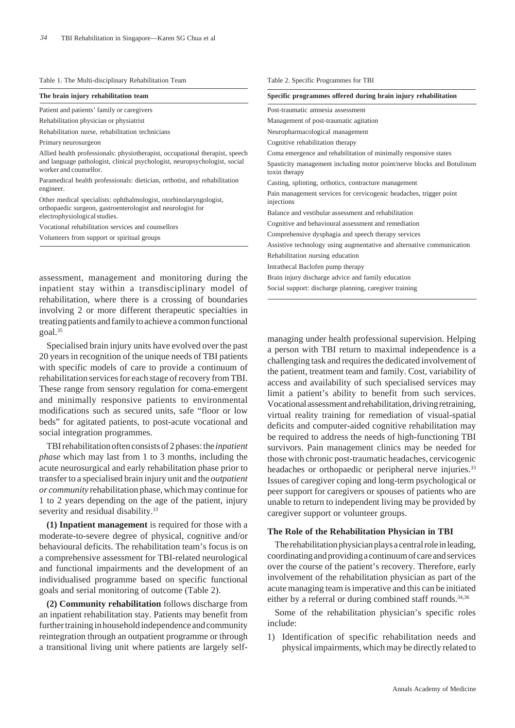#### Table 1. The Multi-disciplinary Rehabilitation Team

|  |  |  | The brain injury rehabilitation team |  |
|--|--|--|--------------------------------------|--|
|--|--|--|--------------------------------------|--|

Patient and patients' family or caregivers

Rehabilitation physician or physiatrist

Rehabilitation nurse, rehabilitation technicians

Primary neurosurgeon

Allied health professionals: physiotherapist, occupational therapist, speech and language pathologist, clinical psychologist, neuropsychologist, social worker and counsellor.

Paramedical health professionals: dietician, orthotist, and rehabilitation engineer.

Other medical specialists: ophthalmologist, otorhinolaryngologist, orthopaedic surgeon, gastroenterologist and neurologist for electrophysiological studies.

Vocational rehabilitation services and counsellors

| Volunteers from support or spiritual groups |  |
|---------------------------------------------|--|
|---------------------------------------------|--|

assessment, management and monitoring during the inpatient stay within a transdisciplinary model of rehabilitation, where there is a crossing of boundaries involving 2 or more different therapeutic specialties in treating patients and family to achieve a common functional goal.35

Specialised brain injury units have evolved over the past 20 years in recognition of the unique needs of TBI patients with specific models of care to provide a continuum of rehabilitation services for each stage of recovery from TBI. These range from sensory regulation for coma-emergent and minimally responsive patients to environmental modifications such as secured units, safe "floor or low beds" for agitated patients, to post-acute vocational and social integration programmes.

TBI rehabilitation often consists of 2 phases: the *inpatient phase* which may last from 1 to 3 months, including the acute neurosurgical and early rehabilitation phase prior to transfer to a specialised brain injury unit and the *outpatient or community* rehabilitation phase, which may continue for 1 to 2 years depending on the age of the patient, injury severity and residual disability.<sup>33</sup>

**(1) Inpatient management** is required for those with a moderate-to-severe degree of physical, cognitive and/or behavioural deficits. The rehabilitation team's focus is on a comprehensive assessment for TBI-related neurological and functional impairments and the development of an individualised programme based on specific functional goals and serial monitoring of outcome (Table 2).

**(2) Community rehabilitation** follows discharge from an inpatient rehabilitation stay. Patients may benefit from further training in household independence and community reintegration through an outpatient programme or through a transitional living unit where patients are largely self-

| Specific programmes offered during brain injury rehabilitation                          |  |  |  |  |
|-----------------------------------------------------------------------------------------|--|--|--|--|
| Post-traumatic amnesia assessment                                                       |  |  |  |  |
| Management of post-traumatic agitation                                                  |  |  |  |  |
| Neuropharmacological management                                                         |  |  |  |  |
| Cognitive rehabilitation therapy                                                        |  |  |  |  |
| Coma emergence and rehabilitation of minimally responsive states                        |  |  |  |  |
| Spasticity management including motor point/nerve blocks and Botulinum<br>toxin therapy |  |  |  |  |
| Casting, splinting, orthotics, contracture management                                   |  |  |  |  |
| Pain management services for cervicogenic headaches, trigger point<br>injections        |  |  |  |  |
| Balance and vestibular assessment and rehabilitation                                    |  |  |  |  |
| Cognitive and behavioural assessment and remediation                                    |  |  |  |  |
| Comprehensive dysphagia and speech therapy services                                     |  |  |  |  |
| Assistive technology using augmentative and alternative communication                   |  |  |  |  |
| Rehabilitation nursing education                                                        |  |  |  |  |
| Intrathecal Baclofen pump therapy                                                       |  |  |  |  |
| Brain injury discharge advice and family education                                      |  |  |  |  |
| Social support: discharge planning, caregiver training                                  |  |  |  |  |

Table 2. Specific Programmes for TBI

managing under health professional supervision. Helping a person with TBI return to maximal independence is a challenging task and requires the dedicated involvement of the patient, treatment team and family. Cost, variability of access and availability of such specialised services may limit a patient's ability to benefit from such services. Vocational assessment and rehabilitation, driving retraining, virtual reality training for remediation of visual-spatial deficits and computer-aided cognitive rehabilitation may be required to address the needs of high-functioning TBI survivors. Pain management clinics may be needed for those with chronic post-traumatic headaches, cervicogenic headaches or orthopaedic or peripheral nerve injuries.<sup>33</sup> Issues of caregiver coping and long-term psychological or peer support for caregivers or spouses of patients who are unable to return to independent living may be provided by caregiver support or volunteer groups.

#### **The Role of the Rehabilitation Physician in TBI**

The rehabilitation physician plays a central role in leading, coordinating and providing a continuum of care and services over the course of the patient's recovery. Therefore, early involvement of the rehabilitation physician as part of the acute managing team is imperative and this can be initiated either by a referral or during combined staff rounds.<sup>34,36</sup>

Some of the rehabilitation physician's specific roles include:

1) Identification of specific rehabilitation needs and physical impairments, which may be directly related to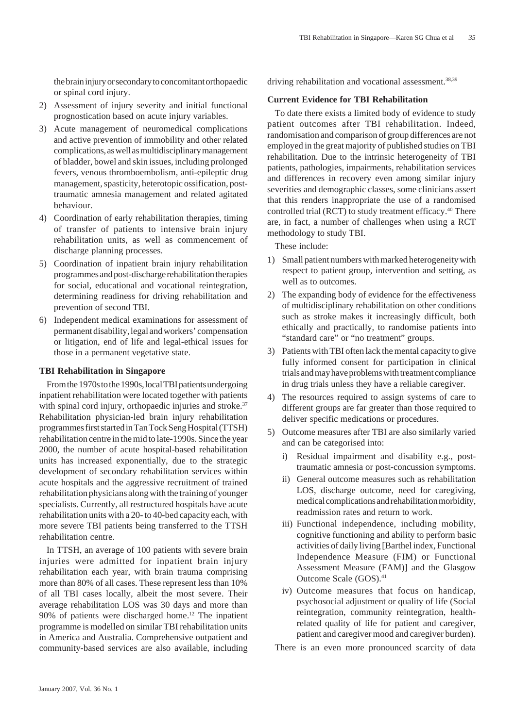the brain injury or secondary to concomitant orthopaedic or spinal cord injury.

- 2) Assessment of injury severity and initial functional prognostication based on acute injury variables.
- 3) Acute management of neuromedical complications and active prevention of immobility and other related complications, as well as multidisciplinary management of bladder, bowel and skin issues, including prolonged fevers, venous thromboembolism, anti-epileptic drug management, spasticity, heterotopic ossification, posttraumatic amnesia management and related agitated behaviour.
- 4) Coordination of early rehabilitation therapies, timing of transfer of patients to intensive brain injury rehabilitation units, as well as commencement of discharge planning processes.
- 5) Coordination of inpatient brain injury rehabilitation programmes and post-discharge rehabilitation therapies for social, educational and vocational reintegration, determining readiness for driving rehabilitation and prevention of second TBI.
- 6) Independent medical examinations for assessment of permanent disability, legal and workers' compensation or litigation, end of life and legal-ethical issues for those in a permanent vegetative state.

### **TBI Rehabilitation in Singapore**

From the 1970s to the 1990s, local TBI patients undergoing inpatient rehabilitation were located together with patients with spinal cord injury, orthopaedic injuries and stroke.<sup>37</sup> Rehabilitation physician-led brain injury rehabilitation programmes first started in Tan Tock Seng Hospital (TTSH) rehabilitation centre in the mid to late-1990s. Since the year 2000, the number of acute hospital-based rehabilitation units has increased exponentially, due to the strategic development of secondary rehabilitation services within acute hospitals and the aggressive recruitment of trained rehabilitation physicians along with the training of younger specialists. Currently, all restructured hospitals have acute rehabilitation units with a 20- to 40-bed capacity each, with more severe TBI patients being transferred to the TTSH rehabilitation centre.

In TTSH, an average of 100 patients with severe brain injuries were admitted for inpatient brain injury rehabilitation each year, with brain trauma comprising more than 80% of all cases. These represent less than 10% of all TBI cases locally, albeit the most severe. Their average rehabilitation LOS was 30 days and more than 90% of patients were discharged home.12 The inpatient programme is modelled on similar TBI rehabilitation units in America and Australia. Comprehensive outpatient and community-based services are also available, including driving rehabilitation and vocational assessment.<sup>38,39</sup>

# **Current Evidence for TBI Rehabilitation**

To date there exists a limited body of evidence to study patient outcomes after TBI rehabilitation. Indeed, randomisation and comparison of group differences are not employed in the great majority of published studies on TBI rehabilitation. Due to the intrinsic heterogeneity of TBI patients, pathologies, impairments, rehabilitation services and differences in recovery even among similar injury severities and demographic classes, some clinicians assert that this renders inappropriate the use of a randomised controlled trial (RCT) to study treatment efficacy.<sup>40</sup> There are, in fact, a number of challenges when using a RCT methodology to study TBI.

These include:

- 1) Small patient numbers with marked heterogeneity with respect to patient group, intervention and setting, as well as to outcomes.
- 2) The expanding body of evidence for the effectiveness of multidisciplinary rehabilitation on other conditions such as stroke makes it increasingly difficult, both ethically and practically, to randomise patients into "standard care" or "no treatment" groups.
- 3) Patients with TBI often lack the mental capacity to give fully informed consent for participation in clinical trials and may have problems with treatment compliance in drug trials unless they have a reliable caregiver.
- 4) The resources required to assign systems of care to different groups are far greater than those required to deliver specific medications or procedures.
- 5) Outcome measures after TBI are also similarly varied and can be categorised into:
	- i) Residual impairment and disability e.g., posttraumatic amnesia or post-concussion symptoms.
	- ii) General outcome measures such as rehabilitation LOS, discharge outcome, need for caregiving, medical complications and rehabilitation morbidity, readmission rates and return to work.
	- iii) Functional independence, including mobility, cognitive functioning and ability to perform basic activities of daily living [Barthel index, Functional Independence Measure (FIM) or Functional Assessment Measure (FAM)] and the Glasgow Outcome Scale (GOS).41
	- iv) Outcome measures that focus on handicap, psychosocial adjustment or quality of life (Social reintegration, community reintegration, healthrelated quality of life for patient and caregiver, patient and caregiver mood and caregiver burden).

There is an even more pronounced scarcity of data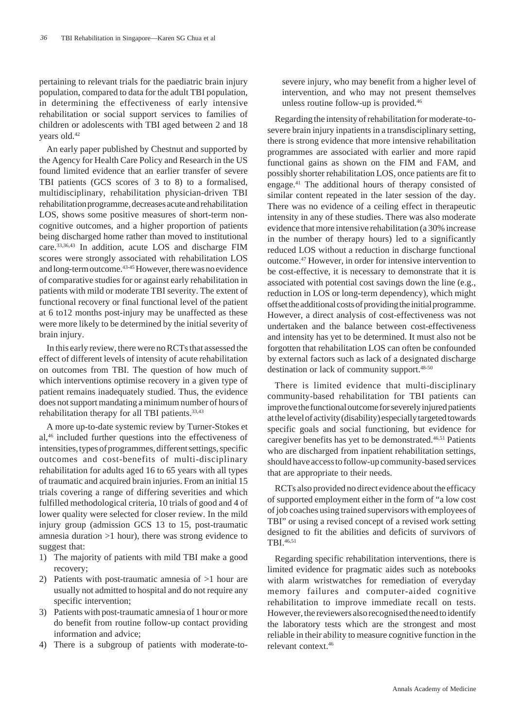pertaining to relevant trials for the paediatric brain injury population, compared to data for the adult TBI population, in determining the effectiveness of early intensive rehabilitation or social support services to families of children or adolescents with TBI aged between 2 and 18 years old.42

An early paper published by Chestnut and supported by the Agency for Health Care Policy and Research in the US found limited evidence that an earlier transfer of severe TBI patients (GCS scores of 3 to 8) to a formalised, multidisciplinary, rehabilitation physician-driven TBI rehabilitation programme, decreases acute and rehabilitation LOS, shows some positive measures of short-term noncognitive outcomes, and a higher proportion of patients being discharged home rather than moved to institutional care.33,36,43 In addition, acute LOS and discharge FIM scores were strongly associated with rehabilitation LOS and long-term outcome.43-45 However, there was no evidence of comparative studies for or against early rehabilitation in patients with mild or moderate TBI severity. The extent of functional recovery or final functional level of the patient at 6 to12 months post-injury may be unaffected as these were more likely to be determined by the initial severity of brain injury.

In this early review, there were no RCTs that assessed the effect of different levels of intensity of acute rehabilitation on outcomes from TBI. The question of how much of which interventions optimise recovery in a given type of patient remains inadequately studied. Thus, the evidence does not support mandating a minimum number of hours of rehabilitation therapy for all TBI patients.<sup>33,43</sup>

A more up-to-date systemic review by Turner-Stokes et al,46 included further questions into the effectiveness of intensities, types of programmes, different settings, specific outcomes and cost-benefits of multi-disciplinary rehabilitation for adults aged 16 to 65 years with all types of traumatic and acquired brain injuries. From an initial 15 trials covering a range of differing severities and which fulfilled methodological criteria, 10 trials of good and 4 of lower quality were selected for closer review. In the mild injury group (admission GCS 13 to 15, post-traumatic amnesia duration >1 hour), there was strong evidence to suggest that:

- 1) The majority of patients with mild TBI make a good recovery;
- 2) Patients with post-traumatic amnesia of >1 hour are usually not admitted to hospital and do not require any specific intervention;
- 3) Patients with post-traumatic amnesia of 1 hour or more do benefit from routine follow-up contact providing information and advice;
- 4) There is a subgroup of patients with moderate-to-

severe injury, who may benefit from a higher level of intervention, and who may not present themselves unless routine follow-up is provided.46

Regarding the intensity of rehabilitation for moderate-tosevere brain injury inpatients in a transdisciplinary setting, there is strong evidence that more intensive rehabilitation programmes are associated with earlier and more rapid functional gains as shown on the FIM and FAM, and possibly shorter rehabilitation LOS, once patients are fit to engage.41 The additional hours of therapy consisted of similar content repeated in the later session of the day. There was no evidence of a ceiling effect in therapeutic intensity in any of these studies. There was also moderate evidence that more intensive rehabilitation (a 30% increase in the number of therapy hours) led to a significantly reduced LOS without a reduction in discharge functional outcome.47 However, in order for intensive intervention to be cost-effective, it is necessary to demonstrate that it is associated with potential cost savings down the line (e.g., reduction in LOS or long-term dependency), which might offset the additional costs of providing the initial programme. However, a direct analysis of cost-effectiveness was not undertaken and the balance between cost-effectiveness and intensity has yet to be determined. It must also not be forgotten that rehabilitation LOS can often be confounded by external factors such as lack of a designated discharge destination or lack of community support.48-50

There is limited evidence that multi-disciplinary community-based rehabilitation for TBI patients can improve the functional outcome for severely injured patients at the level of activity (disability) especially targeted towards specific goals and social functioning, but evidence for caregiver benefits has yet to be demonstrated.<sup>46,51</sup> Patients who are discharged from inpatient rehabilitation settings, should have access to follow-up community-based services that are appropriate to their needs.

RCTs also provided no direct evidence about the efficacy of supported employment either in the form of "a low cost of job coaches using trained supervisors with employees of TBI" or using a revised concept of a revised work setting designed to fit the abilities and deficits of survivors of TBI.46,51

Regarding specific rehabilitation interventions, there is limited evidence for pragmatic aides such as notebooks with alarm wristwatches for remediation of everyday memory failures and computer-aided cognitive rehabilitation to improve immediate recall on tests. However, the reviewers also recognised the need to identify the laboratory tests which are the strongest and most reliable in their ability to measure cognitive function in the relevant context.46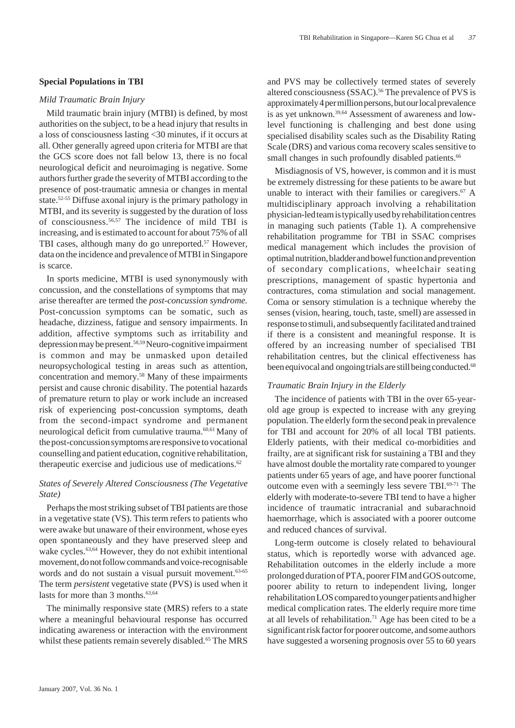## **Special Populations in TBI**

### *Mild Traumatic Brain Injury*

Mild traumatic brain injury (MTBI) is defined, by most authorities on the subject, to be a head injury that results in a loss of consciousness lasting <30 minutes, if it occurs at all. Other generally agreed upon criteria for MTBI are that the GCS score does not fall below 13, there is no focal neurological deficit and neuroimaging is negative. Some authors further grade the severity of MTBI according to the presence of post-traumatic amnesia or changes in mental state.<sup>52-55</sup> Diffuse axonal injury is the primary pathology in MTBI, and its severity is suggested by the duration of loss of consciousness.56,57 The incidence of mild TBI is increasing, and is estimated to account for about 75% of all TBI cases, although many do go unreported.<sup>57</sup> However, data on the incidence and prevalence of MTBI in Singapore is scarce.

In sports medicine, MTBI is used synonymously with concussion, and the constellations of symptoms that may arise thereafter are termed the *post-concussion syndrome.* Post-concussion symptoms can be somatic, such as headache, dizziness, fatigue and sensory impairments. In addition, affective symptoms such as irritability and depression may be present.58,59 Neuro-cognitive impairment is common and may be unmasked upon detailed neuropsychological testing in areas such as attention, concentration and memory.58 Many of these impairments persist and cause chronic disability. The potential hazards of premature return to play or work include an increased risk of experiencing post-concussion symptoms, death from the second-impact syndrome and permanent neurological deficit from cumulative trauma.60,61 Many of the post-concussion symptoms are responsive to vocational counselling and patient education, cognitive rehabilitation, therapeutic exercise and judicious use of medications.<sup>62</sup>

## *States of Severely Altered Consciousness (The Vegetative State)*

Perhaps the most striking subset of TBI patients are those in a vegetative state (VS). This term refers to patients who were awake but unaware of their environment, whose eyes open spontaneously and they have preserved sleep and wake cycles.<sup>63,64</sup> However, they do not exhibit intentional movement, do not follow commands and voice-recognisable words and do not sustain a visual pursuit movement.<sup>63-65</sup> The term *persistent* vegetative state (PVS) is used when it lasts for more than  $3$  months.<sup>63,64</sup>

The minimally responsive state (MRS) refers to a state where a meaningful behavioural response has occurred indicating awareness or interaction with the environment whilst these patients remain severely disabled.<sup>65</sup> The MRS and PVS may be collectively termed states of severely altered consciousness (SSAC).<sup>56</sup> The prevalence of PVS is approximately 4 per million persons, but our local prevalence is as yet unknown.<sup>39,64</sup> Assessment of awareness and lowlevel functioning is challenging and best done using specialised disability scales such as the Disability Rating Scale (DRS) and various coma recovery scales sensitive to small changes in such profoundly disabled patients.<sup>66</sup>

Misdiagnosis of VS, however, is common and it is must be extremely distressing for these patients to be aware but unable to interact with their families or caregivers. $67$  A multidisciplinary approach involving a rehabilitation physician-led team is typically used by rehabilitation centres in managing such patients (Table 1). A comprehensive rehabilitation programme for TBI in SSAC comprises medical management which includes the provision of optimal nutrition, bladder and bowel function and prevention of secondary complications, wheelchair seating prescriptions, management of spastic hypertonia and contractures, coma stimulation and social management. Coma or sensory stimulation is a technique whereby the senses (vision, hearing, touch, taste, smell) are assessed in response to stimuli, and subsequently facilitated and trained if there is a consistent and meaningful response. It is offered by an increasing number of specialised TBI rehabilitation centres, but the clinical effectiveness has been equivocal and ongoing trials are still being conducted.<sup>68</sup>

#### *Traumatic Brain Injury in the Elderly*

The incidence of patients with TBI in the over 65-yearold age group is expected to increase with any greying population. The elderly form the second peak in prevalence for TBI and account for 20% of all local TBI patients. Elderly patients, with their medical co-morbidities and frailty, are at significant risk for sustaining a TBI and they have almost double the mortality rate compared to younger patients under 65 years of age, and have poorer functional outcome even with a seemingly less severe TBI.<sup>69-71</sup> The elderly with moderate-to-severe TBI tend to have a higher incidence of traumatic intracranial and subarachnoid haemorrhage, which is associated with a poorer outcome and reduced chances of survival.

Long-term outcome is closely related to behavioural status, which is reportedly worse with advanced age. Rehabilitation outcomes in the elderly include a more prolonged duration of PTA, poorer FIM and GOS outcome, poorer ability to return to independent living, longer rehabilitation LOS compared to younger patients and higher medical complication rates. The elderly require more time at all levels of rehabilitation.<sup>71</sup> Age has been cited to be a significant risk factor for poorer outcome, and some authors have suggested a worsening prognosis over 55 to 60 years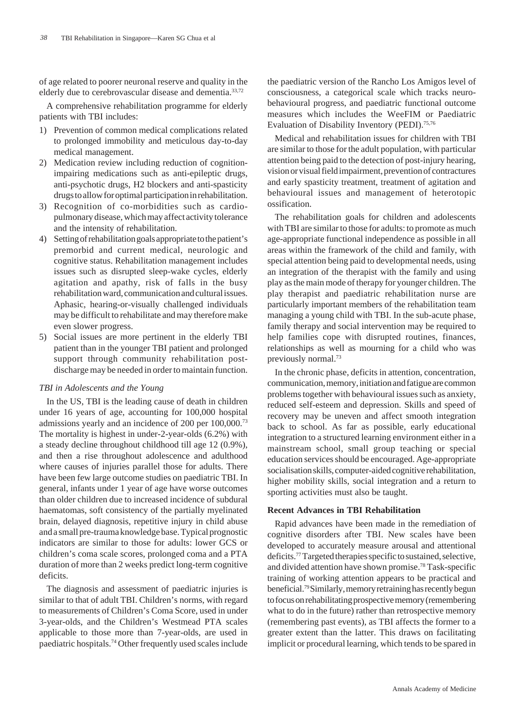of age related to poorer neuronal reserve and quality in the elderly due to cerebrovascular disease and dementia.<sup>33,72</sup>

A comprehensive rehabilitation programme for elderly patients with TBI includes:

- 1) Prevention of common medical complications related to prolonged immobility and meticulous day-to-day medical management.
- 2) Medication review including reduction of cognitionimpairing medications such as anti-epileptic drugs, anti-psychotic drugs, H2 blockers and anti-spasticity drugs to allow for optimal participation in rehabilitation.
- 3) Recognition of co-morbidities such as cardiopulmonary disease, which may affect activity tolerance and the intensity of rehabilitation.
- 4) Setting of rehabilitation goals appropriate to the patient's premorbid and current medical, neurologic and cognitive status. Rehabilitation management includes issues such as disrupted sleep-wake cycles, elderly agitation and apathy, risk of falls in the busy rehabilitation ward, communication and cultural issues. Aphasic, hearing-or-visually challenged individuals may be difficult to rehabilitate and may therefore make even slower progress.
- 5) Social issues are more pertinent in the elderly TBI patient than in the younger TBI patient and prolonged support through community rehabilitation postdischarge may be needed in order to maintain function.

### *TBI in Adolescents and the Young*

In the US, TBI is the leading cause of death in children under 16 years of age, accounting for 100,000 hospital admissions yearly and an incidence of 200 per 100,000.73 The mortality is highest in under-2-year-olds (6.2%) with a steady decline throughout childhood till age 12 (0.9%), and then a rise throughout adolescence and adulthood where causes of injuries parallel those for adults. There have been few large outcome studies on paediatric TBI. In general, infants under 1 year of age have worse outcomes than older children due to increased incidence of subdural haematomas, soft consistency of the partially myelinated brain, delayed diagnosis, repetitive injury in child abuse and a small pre-trauma knowledge base. Typical prognostic indicators are similar to those for adults: lower GCS or children's coma scale scores, prolonged coma and a PTA duration of more than 2 weeks predict long-term cognitive deficits.

The diagnosis and assessment of paediatric injuries is similar to that of adult TBI. Children's norms, with regard to measurements of Children's Coma Score, used in under 3-year-olds, and the Children's Westmead PTA scales applicable to those more than 7-year-olds, are used in paediatric hospitals.74 Other frequently used scales include the paediatric version of the Rancho Los Amigos level of consciousness, a categorical scale which tracks neurobehavioural progress, and paediatric functional outcome measures which includes the WeeFIM or Paediatric Evaluation of Disability Inventory (PEDI).75,76

Medical and rehabilitation issues for children with TBI are similar to those for the adult population, with particular attention being paid to the detection of post-injury hearing, vision or visual field impairment, prevention of contractures and early spasticity treatment, treatment of agitation and behavioural issues and management of heterotopic ossification.

The rehabilitation goals for children and adolescents with TBI are similar to those for adults: to promote as much age-appropriate functional independence as possible in all areas within the framework of the child and family, with special attention being paid to developmental needs, using an integration of the therapist with the family and using play as the main mode of therapy for younger children. The play therapist and paediatric rehabilitation nurse are particularly important members of the rehabilitation team managing a young child with TBI. In the sub-acute phase, family therapy and social intervention may be required to help families cope with disrupted routines, finances, relationships as well as mourning for a child who was previously normal.73

In the chronic phase, deficits in attention, concentration, communication, memory, initiation and fatigue are common problems together with behavioural issues such as anxiety, reduced self-esteem and depression. Skills and speed of recovery may be uneven and affect smooth integration back to school. As far as possible, early educational integration to a structured learning environment either in a mainstream school, small group teaching or special education services should be encouraged. Age-appropriate socialisation skills, computer-aided cognitive rehabilitation, higher mobility skills, social integration and a return to sporting activities must also be taught.

### **Recent Advances in TBI Rehabilitation**

Rapid advances have been made in the remediation of cognitive disorders after TBI. New scales have been developed to accurately measure arousal and attentional deficits.77 Targeted therapies specific to sustained, selective, and divided attention have shown promise.78 Task-specific training of working attention appears to be practical and beneficial.79 Similarly, memory retraining has recently begun to focus on rehabilitating prospective memory (remembering what to do in the future) rather than retrospective memory (remembering past events), as TBI affects the former to a greater extent than the latter. This draws on facilitating implicit or procedural learning, which tends to be spared in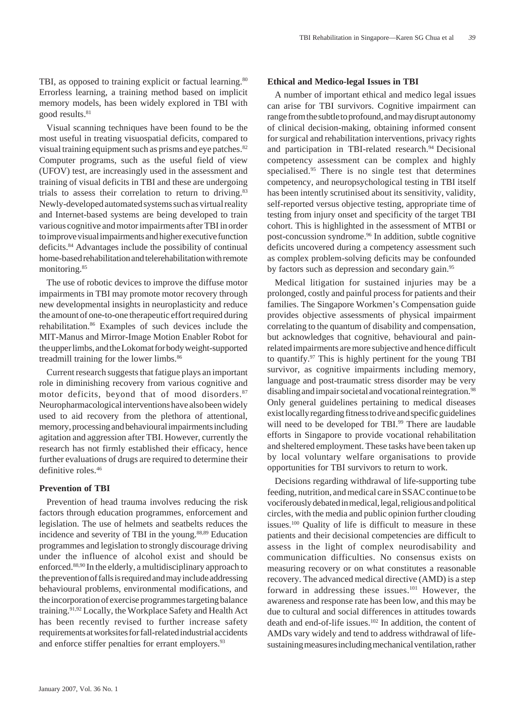TBI, as opposed to training explicit or factual learning.<sup>80</sup> Errorless learning, a training method based on implicit memory models, has been widely explored in TBI with good results.<sup>81</sup>

Visual scanning techniques have been found to be the most useful in treating visuospatial deficits, compared to visual training equipment such as prisms and eye patches.<sup>82</sup> Computer programs, such as the useful field of view (UFOV) test, are increasingly used in the assessment and training of visual deficits in TBI and these are undergoing trials to assess their correlation to return to driving.<sup>83</sup> Newly-developed automated systems such as virtual reality and Internet-based systems are being developed to train various cognitive and motor impairments after TBI in order to improve visual impairments and higher executive function deficits.84 Advantages include the possibility of continual home-based rehabilitation and telerehabilitation with remote monitoring.85

The use of robotic devices to improve the diffuse motor impairments in TBI may promote motor recovery through new developmental insights in neuroplasticity and reduce the amount of one-to-one therapeutic effort required during rehabilitation.86 Examples of such devices include the MIT-Manus and Mirror-Image Motion Enabler Robot for the upper limbs, and the Lokomat for body weight-supported treadmill training for the lower limbs.<sup>86</sup>

Current research suggests that fatigue plays an important role in diminishing recovery from various cognitive and motor deficits, beyond that of mood disorders.<sup>87</sup> Neuropharmacological interventions have also been widely used to aid recovery from the plethora of attentional, memory, processing and behavioural impairments including agitation and aggression after TBI. However, currently the research has not firmly established their efficacy, hence further evaluations of drugs are required to determine their definitive roles.<sup>46</sup>

### **Prevention of TBI**

Prevention of head trauma involves reducing the risk factors through education programmes, enforcement and legislation. The use of helmets and seatbelts reduces the incidence and severity of TBI in the young.88,89 Education programmes and legislation to strongly discourage driving under the influence of alcohol exist and should be enforced.88,90 In the elderly, a multidisciplinary approach to the prevention of falls is required and may include addressing behavioural problems, environmental modifications, and the incorporation of exercise programmes targeting balance training.91,92 Locally, the Workplace Safety and Health Act has been recently revised to further increase safety requirements at worksites for fall-related industrial accidents and enforce stiffer penalties for errant employers.<sup>93</sup>

### **Ethical and Medico-legal Issues in TBI**

A number of important ethical and medico legal issues can arise for TBI survivors. Cognitive impairment can range from the subtle to profound, and may disrupt autonomy of clinical decision-making, obtaining informed consent for surgical and rehabilitation interventions, privacy rights and participation in TBI-related research.<sup>94</sup> Decisional competency assessment can be complex and highly specialised.<sup>95</sup> There is no single test that determines competency, and neuropsychological testing in TBI itself has been intently scrutinised about its sensitivity, validity, self-reported versus objective testing, appropriate time of testing from injury onset and specificity of the target TBI cohort. This is highlighted in the assessment of MTBI or post-concussion syndrome.96 In addition, subtle cognitive deficits uncovered during a competency assessment such as complex problem-solving deficits may be confounded by factors such as depression and secondary gain.<sup>95</sup>

Medical litigation for sustained injuries may be a prolonged, costly and painful process for patients and their families. The Singapore Workmen's Compensation guide provides objective assessments of physical impairment correlating to the quantum of disability and compensation, but acknowledges that cognitive, behavioural and painrelated impairments are more subjective and hence difficult to quantify.97 This is highly pertinent for the young TBI survivor, as cognitive impairments including memory, language and post-traumatic stress disorder may be very disabling and impair societal and vocational reintegration.<sup>98</sup> Only general guidelines pertaining to medical diseases exist locally regarding fitness to drive and specific guidelines will need to be developed for TBI.<sup>99</sup> There are laudable efforts in Singapore to provide vocational rehabilitation and sheltered employment. These tasks have been taken up by local voluntary welfare organisations to provide opportunities for TBI survivors to return to work.

Decisions regarding withdrawal of life-supporting tube feeding, nutrition, and medical care in SSAC continue to be vociferously debated in medical, legal, religious and political circles, with the media and public opinion further clouding issues.100 Quality of life is difficult to measure in these patients and their decisional competencies are difficult to assess in the light of complex neurodisability and communication difficulties. No consensus exists on measuring recovery or on what constitutes a reasonable recovery. The advanced medical directive (AMD) is a step forward in addressing these issues.<sup>101</sup> However, the awareness and response rate has been low, and this may be due to cultural and social differences in attitudes towards death and end-of-life issues.<sup>102</sup> In addition, the content of AMDs vary widely and tend to address withdrawal of lifesustaining measures including mechanical ventilation, rather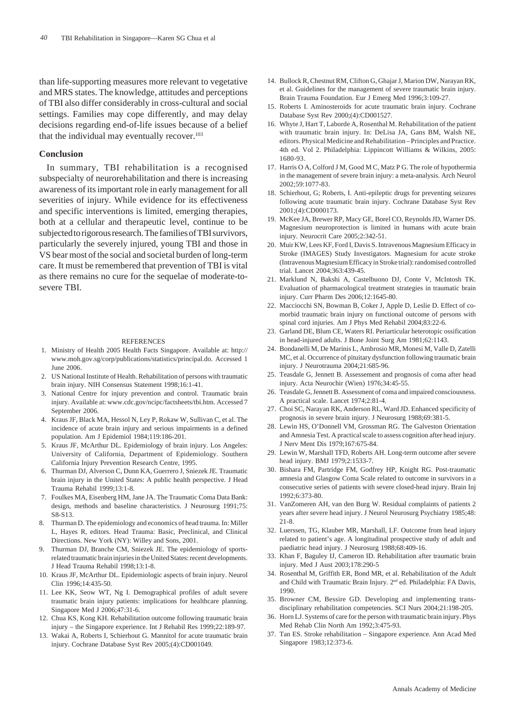than life-supporting measures more relevant to vegetative and MRS states. The knowledge, attitudes and perceptions of TBI also differ considerably in cross-cultural and social settings. Families may cope differently, and may delay decisions regarding end-of-life issues because of a belief that the individual may eventually recover. $103$ 

#### **Conclusion**

In summary, TBI rehabilitation is a recognised subspecialty of neurorehabilitation and there is increasing awareness of its important role in early management for all severities of injury. While evidence for its effectiveness and specific interventions is limited, emerging therapies, both at a cellular and therapeutic level, continue to be subjected to rigorous research. The families of TBI survivors, particularly the severely injured, young TBI and those in VS bear most of the social and societal burden of long-term care. It must be remembered that prevention of TBI is vital as there remains no cure for the sequelae of moderate-tosevere TBI.

#### REFERENCES

- 1. Ministry of Health 2005 Health Facts Singapore. Available at: http:// www.moh.gov.sg/corp/publications/statistics/principal.do. Accessed 1 June 2006.
- 2. US National Institute of Health. Rehabilitation of persons with traumatic brain injury. NIH Consensus Statement 1998;16:1-41.
- 3. National Centre for injury prevention and control. Traumatic brain injury. Available at: www.cdc.gov/ncipc/factsheets/tbi.htm. Accessed 7 September 2006.
- 4. Kraus JF, Black MA, Hessol N, Ley P, Rokaw W, Sullivan C, et al. The incidence of acute brain injury and serious impairments in a defined population. Am J Epidemiol 1984;119:186-201.
- 5. Kraus JF, McArthur DL. Epidemiology of brain injury. Los Angeles: University of California, Department of Epidemiology. Southern California Injury Prevention Research Centre, 1995.
- 6. Thurman DJ, Alverson C, Dunn KA, Guerrero J, Sniezek JE. Traumatic brain injury in the United States: A public health perspective. J Head Trauma Rehabil 1999;13:1-8.
- 7. Foulkes MA, Eisenberg HM, Jane JA. The Traumatic Coma Data Bank: design, methods and baseline characteristics. J Neurosurg 1991;75: S8-S13.
- 8. Thurman D. The epidemiology and economics of head trauma. In: Miller L, Hayes R, editors. Head Trauma: Basic, Preclinical, and Clinical Directions. New York (NY): Willey and Sons, 2001.
- 9. Thurman DJ, Branche CM, Sniezek JE. The epidemiology of sportsrelated traumatic brain injuries in the United States: recent developments. J Head Trauma Rehabil 1998;13:1-8.
- 10. Kraus JF, McArthur DL. Epidemiologic aspects of brain injury. Neurol Clin 1996;14:435-50.
- 11. Lee KK, Seow WT, Ng I. Demographical profiles of adult severe traumatic brain injury patients: implications for healthcare planning. Singapore Med J 2006;47:31-6.
- 12. Chua KS, Kong KH. Rehabilitation outcome following traumatic brain injury – the Singapore experience. Int J Rehabil Res 1999;22:189-97.
- 13. Wakai A, Roberts I, Schierhout G. Mannitol for acute traumatic brain injury. Cochrane Database Syst Rev 2005;(4):CD001049.
- 14. Bullock R, Chestnut RM, Clifton G, Ghajar J, Marion DW, Narayan RK, et al. Guidelines for the management of severe traumatic brain injury. Brain Trauma Foundation. Eur J Emerg Med 1996;3:109-27.
- 15. Roberts I. Aminosteroids for acute traumatic brain injury. Cochrane Database Syst Rev 2000;(4):CD001527.
- 16. Whyte J, Hart T, Laborde A, Rosenthal M. Rehabilitation of the patient with traumatic brain injury. In: DeLisa JA, Gans BM, Walsh NE, editors. Physical Medicine and Rehabilitation – Principles and Practice. 4th ed. Vol 2. Philadelphia: Lippincott Williams & Wilkins, 2005: 1680-93.
- 17. Harris O A, Colford J M, Good M C, Matz P G. The role of hypothermia in the management of severe brain injury: a meta-analysis. Arch Neurol 2002;59:1077-83.
- 18. Schierhout, G; Roberts, I. Anti-epileptic drugs for preventing seizures following acute traumatic brain injury. Cochrane Database Syst Rev 2001;(4):CD000173.
- 19. McKee JA, Brewer RP, Macy GE, Borel CO, Reynolds JD, Warner DS. Magnesium neuroprotection is limited in humans with acute brain injury. Neurocrit Care 2005;2:342-51.
- 20. Muir KW, Lees KF, Ford I, Davis S. Intravenous Magnesium Efficacy in Stroke (IMAGES) Study Investigators. Magnesium for acute stroke (Intravenous Magnesium Efficacy in Stroke trial): randomised controlled trial. Lancet 2004;363:439-45.
- 21. Marklund N, Bakshi A, Castelbuono DJ, Conte V, McIntosh TK. Evaluation of pharmacological treatment strategies in traumatic brain injury. Curr Pharm Des 2006;12:1645-80.
- 22. Macciocchi SN, Bowman B, Coker J, Apple D, Leslie D. Effect of comorbid traumatic brain injury on functional outcome of persons with spinal cord injuries. Am J Phys Med Rehabil 2004;83:22-6.
- 23. Garland DE, Blum CE, Waters RI. Periarticular heterotopic ossification in head-injured adults. J Bone Joint Surg Am 1981;62:1143.
- 24. Bondanelli M, De Marinis L, Ambrosio MR, Monesi M, Valle D, Zatelli MC, et al. Occurrence of pituitary dysfunction following traumatic brain injury. J Neurotrauma 2004;21:685-96.
- 25. Teasdale G, Jennett B. Assessement and prognosis of coma after head injury. Acta Neurochir (Wien) 1976;34:45-55.
- 26. Teasdale G, Jennett B. Assessment of coma and impaired consciousness. A practical scale. Lancet 1974;2:81-4.
- 27. Choi SC, Narayan RK, Anderson RL, Ward JD. Enhanced specificity of prognosis in severe brain injury. J Neurosurg 1988;69:381-5.
- 28. Lewin HS, O'Donnell VM, Grossman RG. The Galveston Orientation and Amnesia Test. A practical scale to assess cognition after head injury. J Nerv Ment Dis 1979;167:675-84.
- 29. Lewin W, Marshall TFD, Roberts AH. Long-term outcome after severe head injury. BMJ 1979;2:1533-7.
- 30. Bishara FM, Partridge FM, Godfrey HP, Knight RG. Post-traumatic amnesia and Glasgow Coma Scale related to outcome in survivors in a consecutive series of patients with severe closed-head injury. Brain Inj 1992;6:373-80.
- 31. VanZomeren AH, van den Burg W. Residual complaints of patients 2 years after severe head injury. J Neurol Neurosurg Psychiatry 1985;48: 21-8.
- 32. Luerssen, TG, Klauber MR, Marshall, LF. Outcome from head injury related to patient's age. A longitudinal prospective study of adult and paediatric head injury. J Neurosurg 1988;68:409-16.
- 33. Khan F, Baguley IJ, Cameron ID. Rehabilitation after traumatic brain injury. Med J Aust 2003;178:290-5
- 34. Rosenthal M, Griffith ER, Bond MR, et al. Rehabilitation of the Adult and Child with Traumatic Brain Injury. 2<sup>nd</sup> ed. Philadelphia: FA Davis, 1990.
- 35. Browner CM, Bessire GD. Developing and implementing transdisciplinary rehabilitation competencies. SCI Nurs 2004;21:198-205.
- 36. Horn LJ. Systems of care for the person with traumatic brain injury. Phys Med Rehab Clin North Am 1992;3:475-93.
- 37. Tan ES. Stroke rehabilitation Singapore experience. Ann Acad Med Singapore 1983;12:373-6.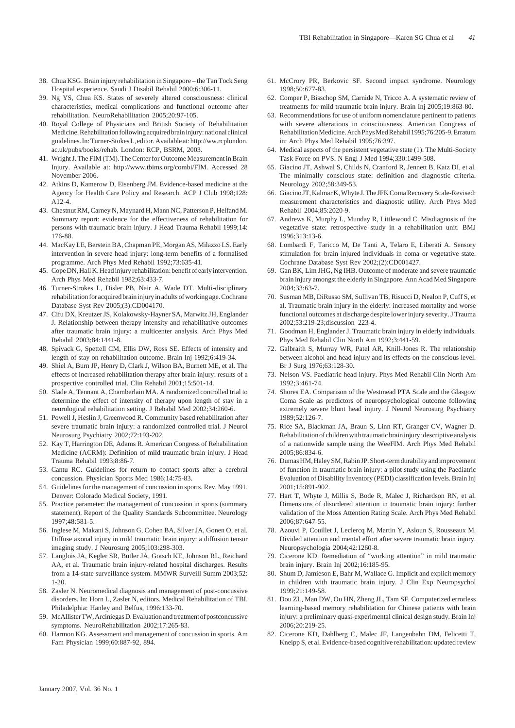- 38. Chua KSG. Brain injury rehabilitation in Singapore the Tan Tock Seng Hospital experience. Saudi J Disabil Rehabil 2000;6:306-11.
- 39. Ng YS, Chua KS. States of severely altered consciousness: clinical characteristics, medical complications and functional outcome after rehabilitation. NeuroRehabilitation 2005;20:97-105.
- 40. Royal College of Physicians and British Society of Rehabilitation Medicine. Rehabilitation following acquired brain injury: national clinical guidelines. In: Turner-Stokes L, editor. Available at: http://ww.rcplondon. ac.uk/pubs/books/rehab. London: RCP, BSRM, 2003.
- 41. Wright J. The FIM (TM). The Center for Outcome Measurement in Brain Injury. Available at: http://www.tbims.org/combi/FIM. Accessed 28 November 2006.
- 42. Atkins D, Kamerow D, Eisenberg JM. Evidence-based medicine at the Agency for Health Care Policy and Research. ACP J Club 1998;128: A12-4.
- 43. Chestnut RM, Carney N, Maynard H, Mann NC, Patterson P, Helfand M. Summary report: evidence for the effectiveness of rehabilitation for persons with traumatic brain injury. J Head Trauma Rehabil 1999;14: 176-88.
- 44. MacKay LE, Berstein BA, Chapman PE, Morgan AS, Milazzo LS. Early intervention in severe head injury: long-term benefits of a formalised programme. Arch Phys Med Rehabil 1992;73:635-41.
- 45. Cope DN, Hall K. Head injury rehabilitation: benefit of early intervention. Arch Phys Med Rehabil 1982;63:433-7.
- 46. Turner-Strokes L, Disler PB, Nair A, Wade DT. Multi-disciplinary rehabilitation for acquired brain injury in adults of working age. Cochrane Database Syst Rev 2005;(3):CD004170.
- 47. Cifu DX, Kreutzer JS, Kolakowsky-Hayner SA, Marwitz JH, Englander J. Relationship between therapy intensity and rehabilitative outcomes after traumatic brain injury: a multicenter analysis. Arch Phys Med Rehabil 2003;84:1441-8.
- 48. Spivack G, Spettell CM, Ellis DW, Ross SE. Effects of intensity and length of stay on rehabilitation outcome. Brain Inj 1992;6:419-34.
- 49. Shiel A, Burn JP, Henry D, Clark J, Wilson BA, Burnett ME, et al. The effects of increased rehabilitation therapy after brain injury: results of a prospective controlled trial. Clin Rehabil 2001;15:501-14.
- 50. Slade A, Tennant A, Chamberlain MA. A randomized controlled trial to determine the effect of intensity of therapy upon length of stay in a neurological rehabilitation setting. J Rehabil Med 2002;34:260-6.
- 51. Powell J, Heslin J, Greenwood R. Community based rehabilitation after severe traumatic brain injury: a randomized controlled trial. J Neurol Neurosurg Psychiatry 2002;72:193-202.
- 52. Kay T, Harrington DE, Adams R. American Congress of Rehabilitation Medicine (ACRM): Definition of mild traumatic brain injury. J Head Trauma Rehabil 1993;8:86-7.
- 53. Cantu RC. Guidelines for return to contact sports after a cerebral concussion. Physician Sports Med 1986;14:75-83.
- 54. Guidelines for the management of concussion in sports. Rev. May 1991. Denver: Colorado Medical Society, 1991.
- 55. Practice parameter: the management of concussion in sports (summary statement). Report of the Quality Standards Subcommittee. Neurology 1997;48:581-5.
- 56. Inglese M, Makani S, Johnson G, Cohen BA, Silver JA, Gonen O, et al. Diffuse axonal injury in mild traumatic brain injury: a diffusion tensor imaging study. J Neurosurg 2005;103:298-303.
- 57. Langlois JA, Kegler SR, Butler JA, Gotsch KE, Johnson RL, Reichard AA, et al. Traumatic brain injury-related hospital discharges. Results from a 14-state surveillance system. MMWR Surveill Summ 2003;52: 1-20.
- 58. Zasler N. Neuromedical diagnosis and management of post-concussive disorders. In: Horn L, Zasler N, editors. Medical Rehabilitation of TBI. Philadelphia: Hanley and Belfus, 1996:133-70.
- 59. McAllister TW, Arciniegas D. Evaluation and treatment of postconcussive symptoms. NeuroRehabilitation 2002;17:265-83.
- 60. Harmon KG. Assessment and management of concussion in sports. Am Fam Physician 1999;60:887-92, 894.
- 61. McCrory PR, Berkovic SF. Second impact syndrome. Neurology 1998;50:677-83.
- 62. Comper P, Bisschop SM, Carnide N, Tricco A. A systematic review of treatments for mild traumatic brain injury. Brain Inj 2005;19:863-80.
- 63. Recommendations for use of uniform nomenclature pertinent to patients with severe alterations in consciousness. American Congress of Rehabilitation Medicine. Arch Phys Med Rehabil 1995;76:205-9. Erratum in: Arch Phys Med Rehabil 1995;76:397.
- 64. Medical aspects of the persistent vegetative state (1). The Multi-Society Task Force on PVS. N Engl J Med 1994;330:1499-508.
- 65. Giacino JT, Ashwal S, Childs N, Cranford R, Jennett B, Katz DI, et al. The minimally conscious state: definition and diagnostic criteria. Neurology 2002;58:349-53.
- 66. Giacino JT, Kalmar K, Whyte J. The JFK Coma Recovery Scale-Revised: measurement characteristics and diagnostic utility. Arch Phys Med Rehabil 2004;85:2020-9.
- 67. Andrews K, Murphy L, Munday R, Littlewood C. Misdiagnosis of the vegetative state: retrospective study in a rehabilitation unit. BMJ 1996;313:13-6.
- 68. Lombardi F, Taricco M, De Tanti A, Telaro E, Liberati A. Sensory stimulation for brain injured individuals in coma or vegetative state. Cochrane Database Syst Rev 2002;(2):CD001427.
- 69. Gan BK, Lim JHG, Ng IHB. Outcome of moderate and severe traumatic brain injury amongst the elderly in Singapore. Ann Acad Med Singapore 2004;33:63-7.
- 70. Susman MB, DiRusso SM, Sullivan TB, Risucci D, Nealon P, Cuff S, et al. Traumatic brain injury in the elderly: increased mortality and worse functional outcomes at discharge despite lower injury severity. J Trauma 2002;53:219-23;discussion 223-4.
- 71. Goodman H, Englander J. Traumatic brain injury in elderly individuals. Phys Med Rehabil Clin North Am 1992;3:441-59.
- 72. Galbraith S, Murray WR, Patel AR, Knill-Jones R. The relationship between alcohol and head injury and its effects on the conscious level. Br J Surg 1976;63:128-30.
- 73. Nelson VS. Paediatric head injury. Phys Med Rehabil Clin North Am 1992;3:461-74.
- 74. Shores EA. Comparison of the Westmead PTA Scale and the Glasgow Coma Scale as predictors of neuropsychological outcome following extremely severe blunt head injury. J Neurol Neurosurg Psychiatry 1989;52:126-7.
- 75. Rice SA, Blackman JA, Braun S, Linn RT, Granger CV, Wagner D. Rehabilitation of children with traumatic brain injury: descriptive analysis of a nationwide sample using the WeeFIM. Arch Phys Med Rehabil 2005;86:834-6.
- 76. Dumas HM, Haley SM, Rabin JP. Short-term durability and improvement of function in traumatic brain injury: a pilot study using the Paediatric Evaluation of Disability Inventory (PEDI) classification levels. Brain Inj 2001;15:891-902.
- 77. Hart T, Whyte J, Millis S, Bode R, Malec J, Richardson RN, et al. Dimensions of disordered attention in traumatic brain injury: further validation of the Moss Attention Rating Scale. Arch Phys Med Rehabil 2006;87:647-55.
- 78. Azouvi P, Couillet J, Leclercq M, Martin Y, Asloun S, Rousseaux M. Divided attention and mental effort after severe traumatic brain injury. Neuropsychologia 2004;42:1260-8.
- 79. Cicerone KD. Remediation of "working attention" in mild traumatic brain injury. Brain Inj 2002;16:185-95.
- 80. Shum D, Jamieson E, Bahr M, Wallace G. Implicit and explicit memory in children with traumatic brain injury. J Clin Exp Neuropsychol 1999;21:149-58.
- 81. Dou ZL, Man DW, Ou HN, Zheng JL, Tam SF. Computerized errorless learning-based memory rehabilitation for Chinese patients with brain injury: a preliminary quasi-experimental clinical design study. Brain Inj 2006;20:219-25.
- 82. Cicerone KD, Dahlberg C, Malec JF, Langenbahn DM, Felicetti T, Kneipp S, et al. Evidence-based cognitive rehabilitation: updated review